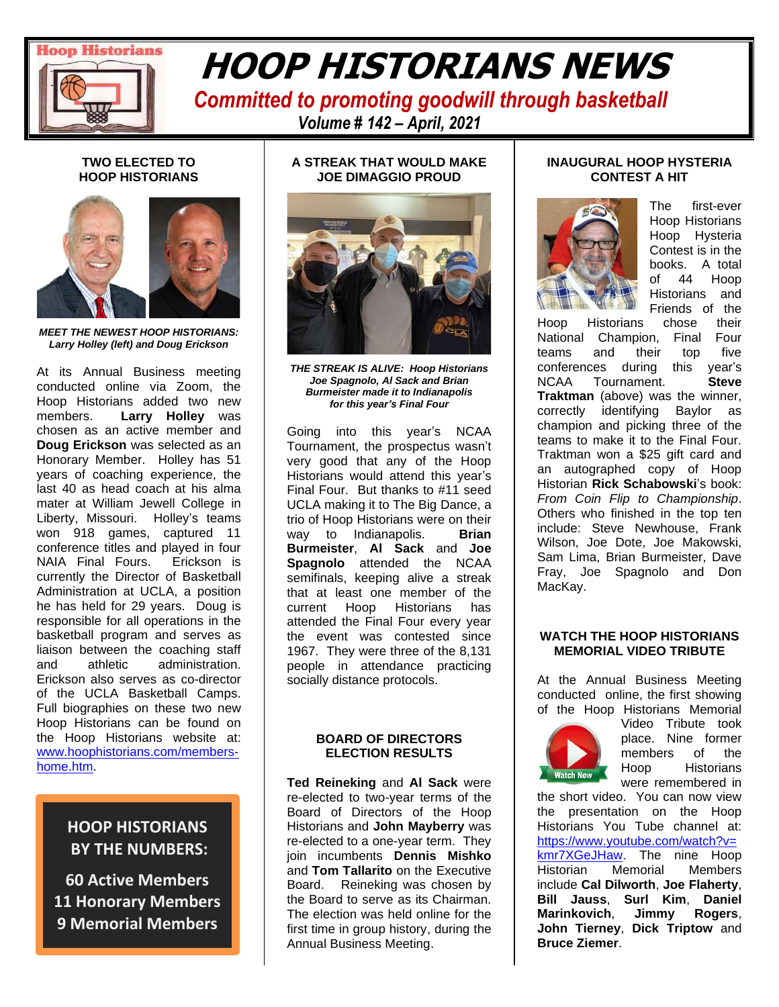

# **READING THE CONDUCT OF HEADER HOOP HISTORIANS NEWS**

 *Committed to promoting goodwill through basketball Volume # 142 – April, 2021*

#### **TWO ELECTED TO HOOP HISTORIANS**



*MEET THE NEWEST HOOP HISTORIANS: Larry Holley (left) and Doug Erickson* 

At its Annual Business meeting conducted online via Zoom, the Hoop Historians added two new members. **Larry Holley** was chosen as an active member and **Doug Erickson** was selected as an Honorary Member. Holley has 51 years of coaching experience, the last 40 as head coach at his alma mater at William Jewell College in Liberty, Missouri. Holley's teams won 918 games, captured 11 conference titles and played in four NAIA Final Fours. Erickson is currently the Director of Basketball Administration at UCLA, a position he has held for 29 years. Doug is responsible for all operations in the basketball program and serves as liaison between the coaching staff and athletic administration. Erickson also serves as co-director of the UCLA Basketball Camps. Full biographies on these two new Hoop Historians can be found on the Hoop Historians website at: [www.hoophistorians.com/members](http://www.hoophistorians.com/members-home.htm)[home.htm.](http://www.hoophistorians.com/members-home.htm)

## **HOOP HISTORIANS BY THE NUMBERS:**

**60 Active Members 11 Honorary Members 9 Memorial Members**

#### **A STREAK THAT WOULD MAKE JOE DIMAGGIO PROUD**



*THE STREAK IS ALIVE: Hoop Historians Joe Spagnolo, Al Sack and Brian Burmeister made it to Indianapolis for this year's Final Four*

Going into this year's NCAA Tournament, the prospectus wasn't very good that any of the Hoop Historians would attend this year's Final Four. But thanks to #11 seed UCLA making it to The Big Dance, a trio of Hoop Historians were on their way to Indianapolis. **Brian Burmeister**, **Al Sack** and **Joe Spagnolo** attended the NCAA semifinals, keeping alive a streak that at least one member of the current Hoop Historians has attended the Final Four every year the event was contested since 1967. They were three of the 8,131 people in attendance practicing socially distance protocols.

#### **BOARD OF DIRECTORS ELECTION RESULTS**

**Ted Reineking** and **Al Sack** were re-elected to two-year terms of the Board of Directors of the Hoop Historians and **John Mayberry** was re-elected to a one-year term. They join incumbents **Dennis Mishko** and **Tom Tallarito** on the Executive Board. Reineking was chosen by the Board to serve as its Chairman. The election was held online for the first time in group history, during the Annual Business Meeting.

#### **INAUGURAL HOOP HYSTERIA CONTEST A HIT**



The first-ever Hoop Historians Hoop Hysteria Contest is in the books. A total of 44 Hoop Historians and Friends of the

Hoop Historians chose their National Champion, Final Four teams and their top five conferences during this year's NCAA Tournament. **Steve Traktman** (above) was the winner, correctly identifying Baylor as champion and picking three of the teams to make it to the Final Four. Traktman won a \$25 gift card and an autographed copy of Hoop Historian **Rick Schabowski**'s book: *From Coin Flip to Championship*. Others who finished in the top ten include: Steve Newhouse, Frank Wilson, Joe Dote, Joe Makowski, Sam Lima, Brian Burmeister, Dave Fray, Joe Spagnolo and Don MacKay.

#### **WATCH THE HOOP HISTORIANS MEMORIAL VIDEO TRIBUTE**

At the Annual Business Meeting conducted online, the first showing of the Hoop Historians Memorial



Video Tribute took place. Nine former members of the Hoop Historians were remembered in

the short video. You can now view the presentation on the Hoop Historians You Tube channel at: [https://www.youtube.com/watch?v=](https://www.youtube.com/watch?v=kmr7XGeJHaw) [kmr7XGeJHaw.](https://www.youtube.com/watch?v=kmr7XGeJHaw) The nine Hoop Historian Memorial Members include **Cal Dilworth**, **Joe Flaherty**, **Bill Jauss**, **Surl Kim**, **Daniel Marinkovich**, **Jimmy Rogers**, **John Tierney**, **Dick Triptow** and **Bruce Ziemer**.